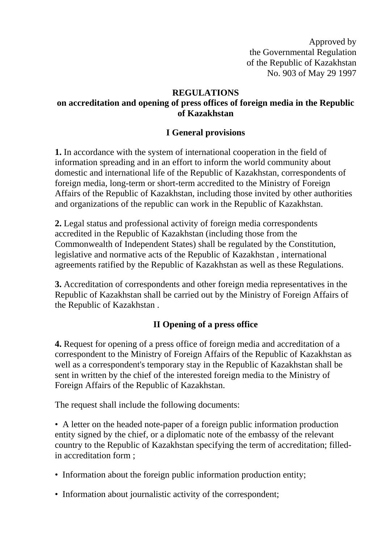Approved by the Governmental Regulation of the Republic of Kazakhstan No. 903 of May 29 1997

#### **REGULATIONS**

# **on accreditation and opening of press offices of foreign media in the Republic of Kazakhstan**

#### **I General provisions**

**1.** In accordance with the system of international cooperation in the field of information spreading and in an effort to inform the world community about domestic and international life of the Republic of Kazakhstan, correspondents of foreign media, long-term or short-term accredited to the Ministry of Foreign Affairs of the Republic of Kazakhstan, including those invited by other authorities and organizations of the republic can work in the Republic of Kazakhstan.

**2.** Legal status and professional activity of foreign media correspondents accredited in the Republic of Kazakhstan (including those from the Commonwealth of Independent States) shall be regulated by the Constitution, legislative and normative acts of the Republic of Kazakhstan , international agreements ratified by the Republic of Kazakhstan as well as these Regulations.

**3.** Accreditation of correspondents and other foreign media representatives in the Republic of Kazakhstan shall be carried out by the Ministry of Foreign Affairs of the Republic of Kazakhstan .

### **II Opening of a press office**

**4.** Request for opening of a press office of foreign media and accreditation of a correspondent to the Ministry of Foreign Affairs of the Republic of Kazakhstan as well as a correspondent's temporary stay in the Republic of Kazakhstan shall be sent in written by the chief of the interested foreign media to the Ministry of Foreign Affairs of the Republic of Kazakhstan.

The request shall include the following documents:

• A letter on the headed note-paper of a foreign public information production entity signed by the chief, or a diplomatic note of the embassy of the relevant country to the Republic of Kazakhstan specifying the term of accreditation; filledin accreditation form ;

- Information about the foreign public information production entity;
- Information about journalistic activity of the correspondent;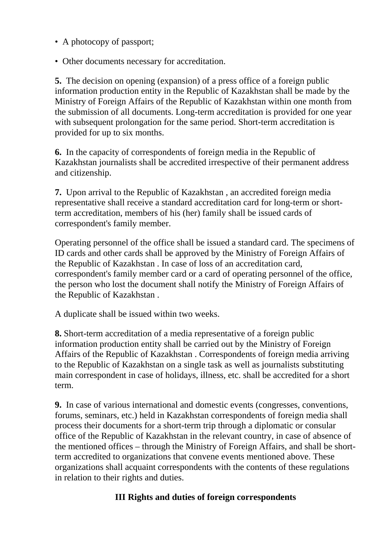- A photocopy of passport;
- Other documents necessary for accreditation.

**5.** The decision on opening (expansion) of a press office of a foreign public information production entity in the Republic of Kazakhstan shall be made by the Ministry of Foreign Affairs of the Republic of Kazakhstan within one month from the submission of all documents. Long-term accreditation is provided for one year with subsequent prolongation for the same period. Short-term accreditation is provided for up to six months.

**6.** In the capacity of correspondents of foreign media in the Republic of Kazakhstan journalists shall be accredited irrespective of their permanent address and citizenship.

**7.** Upon arrival to the Republic of Kazakhstan , an accredited foreign media representative shall receive a standard accreditation card for long-term or shortterm accreditation, members of his (her) family shall be issued cards of correspondent's family member.

Operating personnel of the office shall be issued a standard card. The specimens of ID cards and other cards shall be approved by the Ministry of Foreign Affairs of the Republic of Kazakhstan . In case of loss of an accreditation card, correspondent's family member card or a card of operating personnel of the office, the person who lost the document shall notify the Ministry of Foreign Affairs of the Republic of Kazakhstan .

A duplicate shall be issued within two weeks.

**8.** Short-term accreditation of a media representative of a foreign public information production entity shall be carried out by the Ministry of Foreign Affairs of the Republic of Kazakhstan . Correspondents of foreign media arriving to the Republic of Kazakhstan on a single task as well as journalists substituting main correspondent in case of holidays, illness, etc. shall be accredited for a short term.

**9.** In case of various international and domestic events (congresses, conventions, forums, seminars, etc.) held in Kazakhstan correspondents of foreign media shall process their documents for a short-term trip through a diplomatic or consular office of the Republic of Kazakhstan in the relevant country, in case of absence of the mentioned offices – through the Ministry of Foreign Affairs, and shall be shortterm accredited to organizations that convene events mentioned above. These organizations shall acquaint correspondents with the contents of these regulations in relation to their rights and duties.

### **III Rights and duties of foreign correspondents**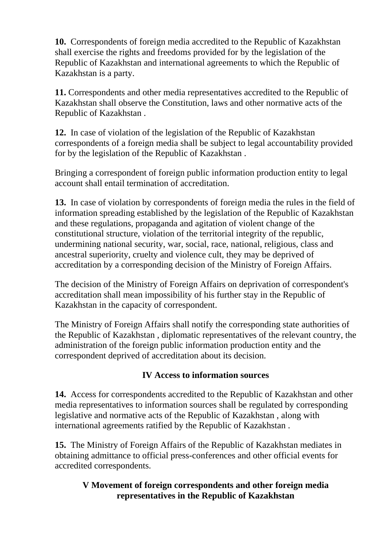**10.** Correspondents of foreign media accredited to the Republic of Kazakhstan shall exercise the rights and freedoms provided for by the legislation of the Republic of Kazakhstan and international agreements to which the Republic of Kazakhstan is a party.

**11.** Correspondents and other media representatives accredited to the Republic of Kazakhstan shall observe the Constitution, laws and other normative acts of the Republic of Kazakhstan .

**12.** In case of violation of the legislation of the Republic of Kazakhstan correspondents of a foreign media shall be subject to legal accountability provided for by the legislation of the Republic of Kazakhstan .

Bringing a correspondent of foreign public information production entity to legal account shall entail termination of accreditation.

**13.** In case of violation by correspondents of foreign media the rules in the field of information spreading established by the legislation of the Republic of Kazakhstan and these regulations, propaganda and agitation of violent change of the constitutional structure, violation of the territorial integrity of the republic, undermining national security, war, social, race, national, religious, class and ancestral superiority, cruelty and violence cult, they may be deprived of accreditation by a corresponding decision of the Ministry of Foreign Affairs.

The decision of the Ministry of Foreign Affairs on deprivation of correspondent's accreditation shall mean impossibility of his further stay in the Republic of Kazakhstan in the capacity of correspondent.

The Ministry of Foreign Affairs shall notify the corresponding state authorities of the Republic of Kazakhstan , diplomatic representatives of the relevant country, the administration of the foreign public information production entity and the correspondent deprived of accreditation about its decision.

# **IV Access to information sources**

**14.** Access for correspondents accredited to the Republic of Kazakhstan and other media representatives to information sources shall be regulated by corresponding legislative and normative acts of the Republic of Kazakhstan , along with international agreements ratified by the Republic of Kazakhstan .

**15.** The Ministry of Foreign Affairs of the Republic of Kazakhstan mediates in obtaining admittance to official press-conferences and other official events for accredited correspondents.

### **V Movement of foreign correspondents and other foreign media representatives in the Republic of Kazakhstan**